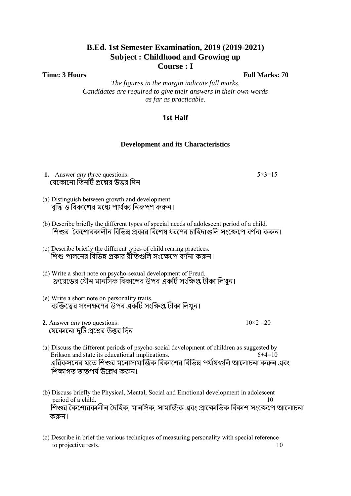# **B.Ed. 1st Semester Examination, 2019 (2019-2021) Subject : Childhood and Growing up Course : I**

**Time: 3 Hours Full Marks: 70** 

*The figures in the margin indicate full marks. Candidates are required to give their answers in their own words as far as practicable.*

## **1st Half**

#### **Development and its Characteristics**

**1.** Answer *any three* questions: 5×3=15 যেকোনো তিনটি প্রশ্নের উত্তর দিন

- (a) Distinguish between growth and development. বদ্ধি ও বিকাশের মধ্যে পার্থক্য নিরুপণ করুন।
- (b) Describe briefly the different types of special needs of adolescent period of a child. শিশুর কৈশোরকালীন বিভিন্ন প্রকার বিশেষ ধরণের চাহিদাগুলি সংক্ষেপে বর্ণনা করুন।
- (c) Describe briefly the different types of child rearing practices. শিশু পালনের বিভিন্ন প্রকার রীতিগুলি সংক্ষেপে বর্ণনা করুন।
- (d) Write a short note on psycho-sexual development of Freud. ফ্রয়েডের যৌন মানসিক বিকাশের উপর একটি সংক্ষিপ্ত টীকা লিখুন।
- (e) Write a short note on personality traits. ব্যক্তিত্বের সংলক্ষণের উপর একটি সংক্ষিপ্ত টীকা লিখুন।
- **2.** Answer *any two* questions:  $10 \times 2 = 20$ যেকোনো দুটি প্রশ্নের উত্তর দিন

- (a) Discuss the different periods of psycho-social development of children as suggested by Erikson and state its educational implications. 6+4=10 এরিকসনের মতে শিশুর মনোসামাজিক বিকাশের বিভিন্ন পর্যায়গুলি আলোচনা করুন এবং শিক্ষাগত তাতপৰ্য উল্লেখ কৰুন।
- (b) Discuss briefly the Physical, Mental, Social and Emotional development in adolescent period of a child. 10 শিশুর কৈশোরকালীন দৈহিক, মানসিক, সামাজিক এবং প্রাক্ষোভিক বিকাশ সংক্ষেপে আলোচনা করুন।
- (c) Describe in brief the various techniques of measuring personality with special reference to projective tests. 10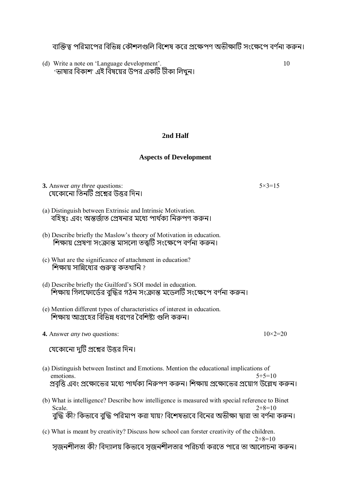ব্যক্তিত্ব পরিমাপের বিভিন্ন কৌশলগুলি বিশেষ করে প্রক্ষেপণ অভীক্ষাটি সংক্ষেপে বর্ণনা করুন।

(d) Write a note on 'Language development'. 10 'ভাষার বিকাশ' এই বিষয়ের উপর একটি টীকা লিখুন।

## **2nd Half**

## **Aspects of Development**

**3.** Answer *any three* questions: 5×3=15 যেকোনো তিনটি প্রশ্নের উত্তর দিন।

- (a) Distinguish between Extrinsic and Intrinsic Motivation. বহিস্থঃ এবং অন্তর্জাত প্রেষনার মধ্যে পার্থক্য নিরুপণ করুন।
- (b) Describe briefly the Maslow's theory of Motivation in education. শিক্ষায় প্রেষণা সংক্রান্ত মাসলো তত্ত্বটি সংক্ষেপে বর্ণনা করুন।
- (c) What are the significance of attachment in education? শিক্ষায় সান্নিধ্যের গুরুত্ব কতখানি ?
- (d) Describe briefly the Guilford's SOI model in education. শিক্ষায় গিলফোর্ডের বুদ্ধির গঠন সংক্রান্ত মডেলটি সংক্ষেপে বর্ণনা করুন।
- (e) Mention different types of characteristics of interest in education. শিক্ষায় আগ্রহের বিভিন্ন ধরণের বৈশিষ্ট্য গুলি করুন।
- **4.** Answer *any two* questions:  $10\times2=20$

যেকোনো দুটি প্রশ্নের উত্তর দিন।

- (a) Distinguish between Instinct and Emotions. Mention the educational implications of emotions.  $5+5=10$ প্রবত্তি এবং প্রক্ষোভের মধ্যে পার্থক্য নিরুপণ করুন। শিক্ষায় প্রক্ষোভের প্রয়োগ উল্লেখ করুন।
- (b) What is intelligence? Describe how intelligence is measured with special reference to Binet Scale.  $2+8=10$ বৃদ্ধি কী? কিভাবে বুদ্ধি পরিমাপ করা যায়? বিশেষভাবে বিনের অভীক্ষা দ্বারা তা বর্ণনা করুন।
- (c) What is meant by creativity? Discuss how school can forster creativity of the children.  $2+8=10$

সজনশীলতা কী? বিদ্যালয় কিভাবে সজনশীলতার পরিচর্যা করতে পারে তা আলোচনা করুন।